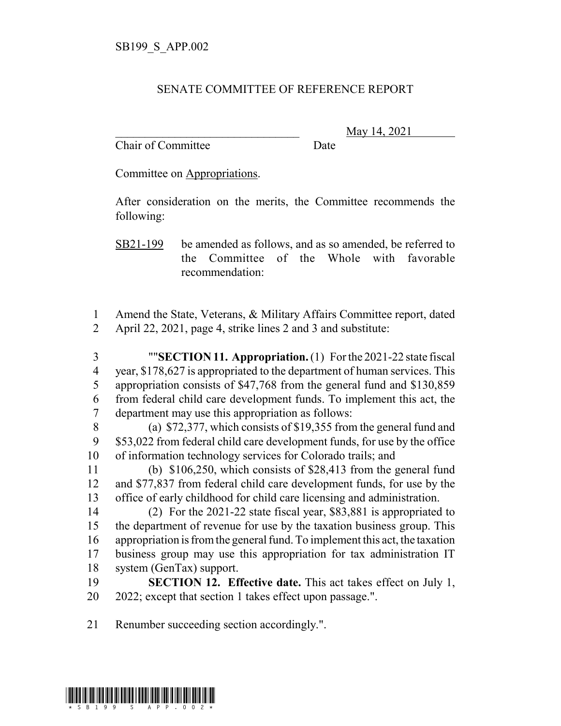## SENATE COMMITTEE OF REFERENCE REPORT

Chair of Committee Date

\_\_\_\_\_\_\_\_\_\_\_\_\_\_\_\_\_\_\_\_\_\_\_\_\_\_\_\_\_\_\_ May 14, 2021

Committee on Appropriations.

After consideration on the merits, the Committee recommends the following:

SB21-199 be amended as follows, and as so amended, be referred to the Committee of the Whole with favorable recommendation:

 Amend the State, Veterans, & Military Affairs Committee report, dated April 22, 2021, page 4, strike lines 2 and 3 and substitute:

 ""**SECTION 11. Appropriation.** (1) For the 2021-22 state fiscal year, \$178,627 is appropriated to the department of human services. This appropriation consists of \$47,768 from the general fund and \$130,859 from federal child care development funds. To implement this act, the department may use this appropriation as follows:

 (a) \$72,377, which consists of \$19,355 from the general fund and \$53,022 from federal child care development funds, for use by the office of information technology services for Colorado trails; and

 (b) \$106,250, which consists of \$28,413 from the general fund and \$77,837 from federal child care development funds, for use by the office of early childhood for child care licensing and administration.

 (2) For the 2021-22 state fiscal year, \$83,881 is appropriated to the department of revenue for use by the taxation business group. This appropriation is from the general fund. To implement this act, the taxation business group may use this appropriation for tax administration IT system (GenTax) support.

 **SECTION 12. Effective date.** This act takes effect on July 1, 2022; except that section 1 takes effect upon passage.".

Renumber succeeding section accordingly.".